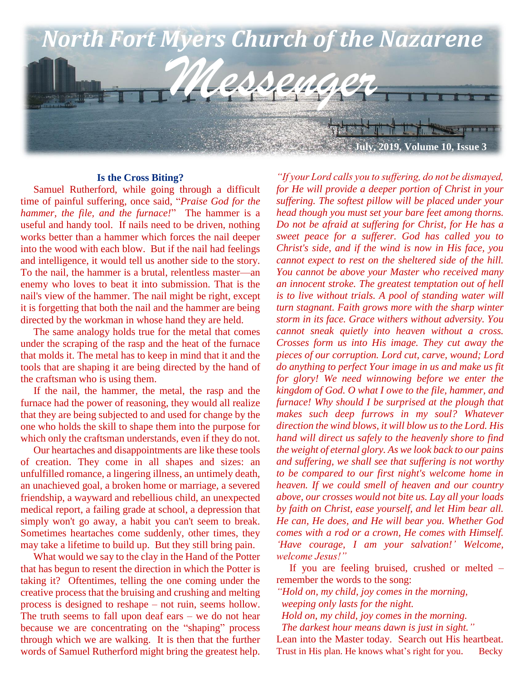

#### **Is the Cross Biting?**

 Samuel Rutherford, while going through a difficult time of painful suffering, once said, "*Praise God for the hammer, the file, and the furnace!*" The hammer is a useful and handy tool. If nails need to be driven, nothing works better than a hammer which forces the nail deeper into the wood with each blow. But if the nail had feelings and intelligence, it would tell us another side to the story. To the nail, the hammer is a brutal, relentless master—an enemy who loves to beat it into submission. That is the nail's view of the hammer. The nail might be right, except it is forgetting that both the nail and the hammer are being directed by the workman in whose hand they are held.

 The same analogy holds true for the metal that comes under the scraping of the rasp and the heat of the furnace that molds it. The metal has to keep in mind that it and the tools that are shaping it are being directed by the hand of the craftsman who is using them.

 If the nail, the hammer, the metal, the rasp and the furnace had the power of reasoning, they would all realize that they are being subjected to and used for change by the one who holds the skill to shape them into the purpose for which only the craftsman understands, even if they do not.

 Our heartaches and disappointments are like these tools of creation. They come in all shapes and sizes: an unfulfilled romance, a lingering illness, an untimely death, an unachieved goal, a broken home or marriage, a severed friendship, a wayward and rebellious child, an unexpected medical report, a failing grade at school, a depression that simply won't go away, a habit you can't seem to break. Sometimes heartaches come suddenly, other times, they may take a lifetime to build up. But they still bring pain.

 What would we say to the clay in the Hand of the Potter that has begun to resent the direction in which the Potter is taking it? Oftentimes, telling the one coming under the creative process that the bruising and crushing and melting process is designed to reshape – not ruin, seems hollow. The truth seems to fall upon deaf ears – we do not hear because we are concentrating on the "shaping" process through which we are walking. It is then that the further words of Samuel Rutherford might bring the greatest help.

*"If your Lord calls you to suffering, do not be dismayed, for He will provide a deeper portion of Christ in your suffering. The softest pillow will be placed under your head though you must set your bare feet among thorns. Do not be afraid at suffering for Christ, for He has a sweet peace for a sufferer. God has called you to Christ's side, and if the wind is now in His face, you cannot expect to rest on the sheltered side of the hill. You cannot be above your Master who received many an innocent stroke. The greatest temptation out of hell is to live without trials. A pool of standing water will turn stagnant. Faith grows more with the sharp winter storm in its face. Grace withers without adversity. You cannot sneak quietly into heaven without a cross. Crosses form us into His image. They cut away the pieces of our corruption. Lord cut, carve, wound; Lord do anything to perfect Your image in us and make us fit for glory! We need winnowing before we enter the kingdom of God. O what I owe to the file, hammer, and furnace! Why should I be surprised at the plough that makes such deep furrows in my soul? Whatever direction the wind blows, it will blow us to the Lord. His hand will direct us safely to the heavenly shore to find the weight of eternal glory. As we look back to our pains and suffering, we shall see that suffering is not worthy to be compared to our first night's welcome home in heaven. If we could smell of heaven and our country above, our crosses would not bite us. Lay all your loads by faith on Christ, ease yourself, and let Him bear all. He can, He does, and He will bear you. Whether God comes with a rod or a crown, He comes with Himself. 'Have courage, I am your salvation!' Welcome, welcome Jesus!"*

 If you are feeling bruised, crushed or melted – remember the words to the song:

*"Hold on, my child, joy comes in the morning,*

 *weeping only lasts for the night.*

 *Hold on, my child, joy comes in the morning.*

 *The darkest hour means dawn is just in sight."*

Lean into the Master today. Search out His heartbeat. Trust in His plan. He knows what's right for you. Becky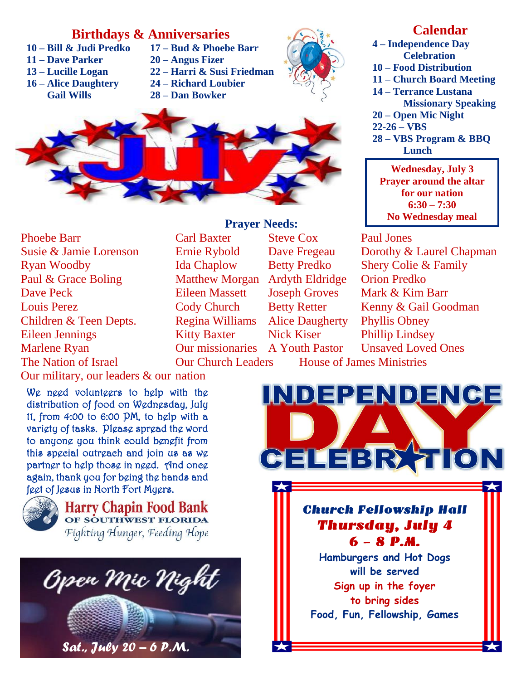# **Birthdays & Anniversaries**

- 
- **11 – Dave Parker 20 – Angus Fizer**
- 
- **16 – Alice Daughtery 24 – Richard Loubier Gail Wills 28 – Dan Bowker**
- **10 – Bill & Judi Predko 17 – Bud & Phoebe Barr**
	-
- **13 – Lucille Logan 22 – Harri & Susi Friedman**
	-
	-





Phoebe Barr **Carl Baxter** Steve Cox Paul Jones **Susie & Jamie Lorenson Ryan Woodby** Paul & Grace Boling Matthew Morgan Ardyth Eldridge Orion Predko Dave Peck Eileen Massett Joseph Groves Mark & Kim Barr Louis Perez Cody Church Betty Retter Kenny & Gail Goodman Children & Teen Depts. Regina Williams Alice Daugherty Phyllis Obney Eileen Jennings Kitty Baxter Nick Kiser Phillip Lindsey Marlene Ryan **Our missionaries** A Youth Pastor Unsaved Loved Ones The Nation of Israel Our Church Leaders House of James Ministries

### **Prayer Needs:**

# **Calendar**

**4 – Independence Day Celebration 10 – Food Distribution 11 – Church Board Meeting 14 – Terrance Lustana Missionary Speaking 20 – Open Mic Night 22-26 – VBS 28 – VBS Program & BBQ Lunch**

**Wednesday, July 3 Prayer around the altar for our nation 6:30 – 7:30 No Wednesday meal**

Ernie Rybold Dave Fregeau Dorothy & Laurel Chapman Ida Chaplow Betty Predko Shery Colie & Family

Our military, our leaders & our nation

We need volunteers to help with the distribution of food on Wednesday, July 11, from 4:00 to 6:00 PM, to help with a variety of tasks. Please spread the word to anyone you think could benefit from this special outreach and join us as we partner to help those in need. And once again, thank you for being the hands and feet of Jesus in North Fort Myers.



**Harry Chapin Food Bank** OF SOUTHWEST FLORIDA Fighting Hunger, Feeding Hope



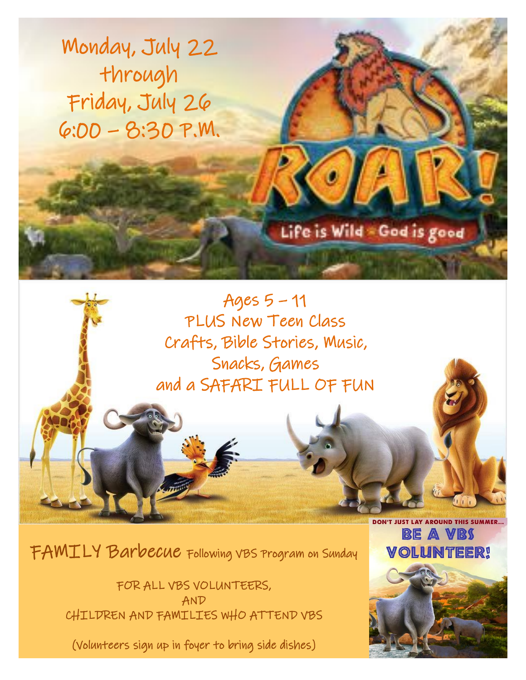Monday, July 22 through Friday, July 26 6:00 – 8:30 P.M.

Life is Wild God is good

Ages 5 – 11 PLUS New Teen Class Crafts, Bible Stories, Music, Snacks, Games and a SAFARI FULL OF FUN

FAMILY Barbecue Following VBS Program on Sunday

FOR ALL VBS VOLUNTEERS, AND CHILDREN AND FAMILIES WHO ATTEND VBS

(Volunteers sign up in foyer to bring side dishes)



DON'T JUST LAY AROUND THIS SUMMER...